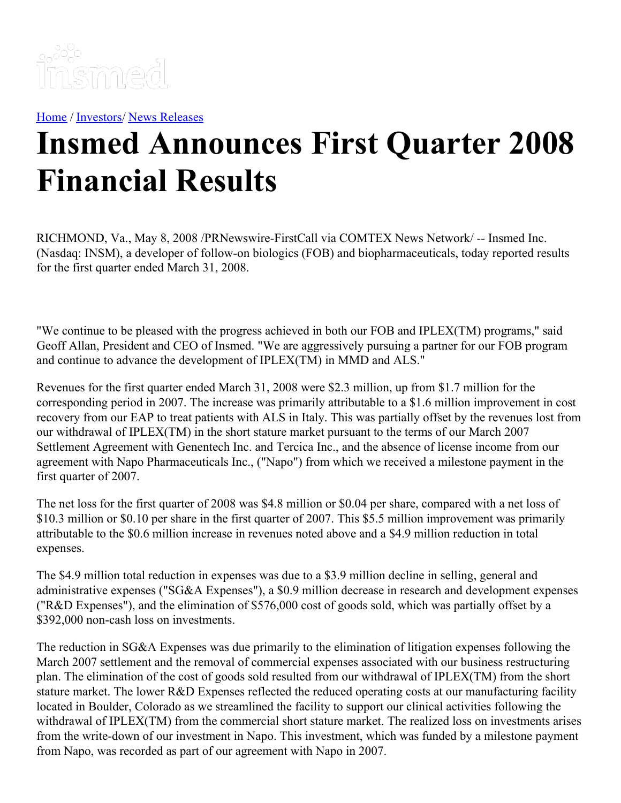

[Home](https://insmed.com/) / [Investors](https://investor.insmed.com/index)/ News [Releases](https://investor.insmed.com/releases)

## **Insmed Announces First Quarter 2008 Financial Results**

RICHMOND, Va., May 8, 2008 /PRNewswire-FirstCall via COMTEX News Network/ -- Insmed Inc. (Nasdaq: INSM), a developer of follow-on biologics (FOB) and biopharmaceuticals, today reported results for the first quarter ended March 31, 2008.

"We continue to be pleased with the progress achieved in both our FOB and IPLEX(TM) programs," said Geoff Allan, President and CEO of Insmed. "We are aggressively pursuing a partner for our FOB program and continue to advance the development of IPLEX(TM) in MMD and ALS."

Revenues for the first quarter ended March 31, 2008 were \$2.3 million, up from \$1.7 million for the corresponding period in 2007. The increase was primarily attributable to a \$1.6 million improvement in cost recovery from our EAP to treat patients with ALS in Italy. This was partially offset by the revenues lost from our withdrawal of IPLEX(TM) in the short stature market pursuant to the terms of our March 2007 Settlement Agreement with Genentech Inc. and Tercica Inc., and the absence of license income from our agreement with Napo Pharmaceuticals Inc., ("Napo") from which we received a milestone payment in the first quarter of 2007.

The net loss for the first quarter of 2008 was \$4.8 million or \$0.04 per share, compared with a net loss of \$10.3 million or \$0.10 per share in the first quarter of 2007. This \$5.5 million improvement was primarily attributable to the \$0.6 million increase in revenues noted above and a \$4.9 million reduction in total expenses.

The \$4.9 million total reduction in expenses was due to a \$3.9 million decline in selling, general and administrative expenses ("SG&A Expenses"), a \$0.9 million decrease in research and development expenses ("R&D Expenses"), and the elimination of \$576,000 cost of goods sold, which was partially offset by a \$392,000 non-cash loss on investments.

The reduction in SG&A Expenses was due primarily to the elimination of litigation expenses following the March 2007 settlement and the removal of commercial expenses associated with our business restructuring plan. The elimination of the cost of goods sold resulted from our withdrawal of IPLEX(TM) from the short stature market. The lower R&D Expenses reflected the reduced operating costs at our manufacturing facility located in Boulder, Colorado as we streamlined the facility to support our clinical activities following the withdrawal of IPLEX(TM) from the commercial short stature market. The realized loss on investments arises from the write-down of our investment in Napo. This investment, which was funded by a milestone payment from Napo, was recorded as part of our agreement with Napo in 2007.